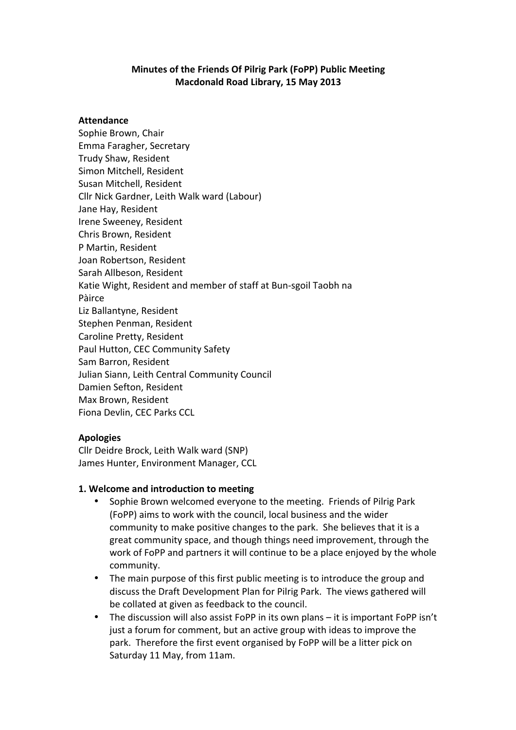### **Minutes of the Friends Of Pilrig Park (FoPP) Public Meeting Macdonald Road Library, 15 May 2013**

#### **Attendance**

Sophie Brown, Chair Emma Faragher, Secretary Trudy Shaw, Resident Simon Mitchell, Resident Susan Mitchell, Resident Cllr Nick Gardner, Leith Walk ward (Labour) Jane Hay, Resident Irene Sweeney, Resident Chris Brown, Resident P Martin, Resident Joan Robertson, Resident Sarah Allbeson, Resident Katie Wight, Resident and member of staff at Bun-sgoil Taobh na Pàirce Liz Ballantyne, Resident Stephen Penman, Resident Caroline Pretty, Resident Paul Hutton, CEC Community Safety Sam Barron, Resident Julian Siann, Leith Central Community Council Damien Sefton, Resident Max Brown, Resident Fiona Devlin, CEC Parks CCL

### **Apologies**

Cllr Deidre Brock, Leith Walk ward (SNP) James Hunter, Environment Manager, CCL

### **1. Welcome and introduction to meeting**

- Sophie Brown welcomed everyone to the meeting. Friends of Pilrig Park (FoPP) aims to work with the council, local business and the wider community to make positive changes to the park. She believes that it is a great community space, and though things need improvement, through the work of FoPP and partners it will continue to be a place enjoyed by the whole community.
- The main purpose of this first public meeting is to introduce the group and discuss the Draft Development Plan for Pilrig Park. The views gathered will be collated at given as feedback to the council.
- The discussion will also assist FoPP in its own plans  $-$  it is important FoPP isn't just a forum for comment, but an active group with ideas to improve the park. Therefore the first event organised by FoPP will be a litter pick on Saturday 11 May, from 11am.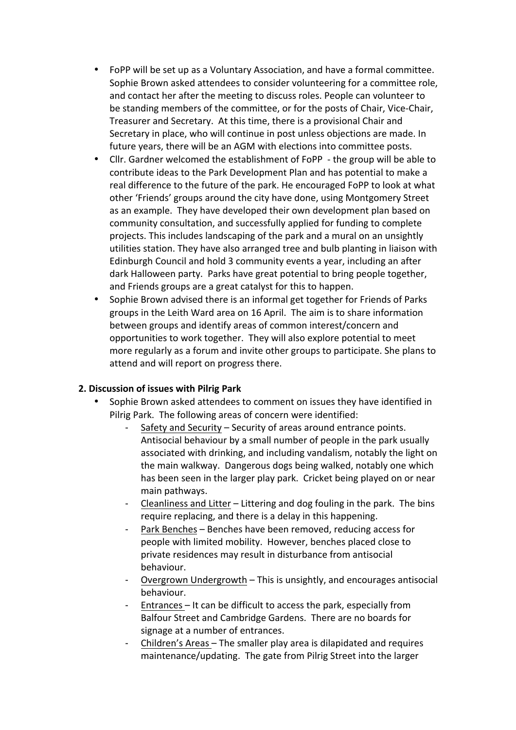- FoPP will be set up as a Voluntary Association, and have a formal committee. Sophie Brown asked attendees to consider volunteering for a committee role, and contact her after the meeting to discuss roles. People can volunteer to be standing members of the committee, or for the posts of Chair, Vice-Chair, Treasurer and Secretary. At this time, there is a provisional Chair and Secretary in place, who will continue in post unless objections are made. In future years, there will be an AGM with elections into committee posts.
- Cllr. Gardner welcomed the establishment of FoPP the group will be able to contribute ideas to the Park Development Plan and has potential to make a real difference to the future of the park. He encouraged FoPP to look at what other 'Friends' groups around the city have done, using Montgomery Street as an example. They have developed their own development plan based on community consultation, and successfully applied for funding to complete projects. This includes landscaping of the park and a mural on an unsightly utilities station. They have also arranged tree and bulb planting in liaison with Edinburgh Council and hold 3 community events a year, including an after dark Halloween party. Parks have great potential to bring people together, and Friends groups are a great catalyst for this to happen.
- Sophie Brown advised there is an informal get together for Friends of Parks groups in the Leith Ward area on 16 April. The aim is to share information between groups and identify areas of common interest/concern and opportunities to work together. They will also explore potential to meet more regularly as a forum and invite other groups to participate. She plans to attend and will report on progress there.

## **2. Discussion of issues with Pilrig Park**

- Sophie Brown asked attendees to comment on issues they have identified in Pilrig Park. The following areas of concern were identified:
	- Safety and Security Security of areas around entrance points. Antisocial behaviour by a small number of people in the park usually associated with drinking, and including vandalism, notably the light on the main walkway. Dangerous dogs being walked, notably one which has been seen in the larger play park. Cricket being played on or near main pathways.
	- Cleanliness and Litter Littering and dog fouling in the park. The bins require replacing, and there is a delay in this happening.
	- Park Benches Benches have been removed, reducing access for people with limited mobility. However, benches placed close to private residences may result in disturbance from antisocial behaviour.
	- Overgrown Undergrowth This is unsightly, and encourages antisocial behaviour.
	- Entrances It can be difficult to access the park, especially from Balfour Street and Cambridge Gardens. There are no boards for signage at a number of entrances.
	- Children's Areas The smaller play area is dilapidated and requires maintenance/updating. The gate from Pilrig Street into the larger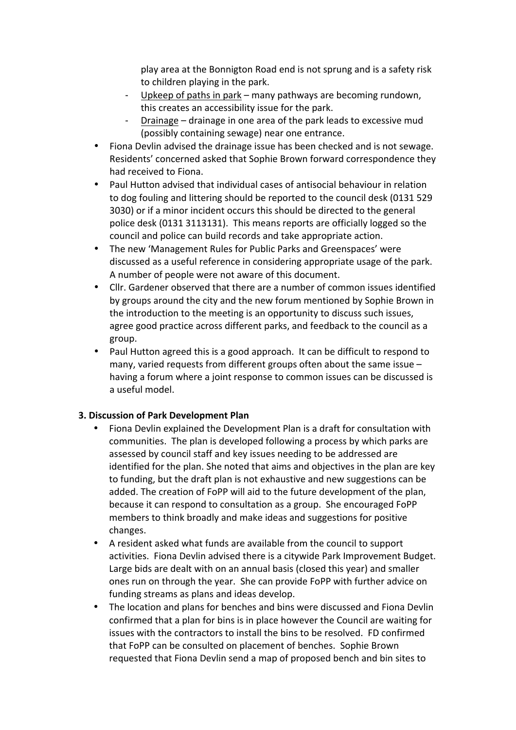play area at the Bonnigton Road end is not sprung and is a safety risk to children playing in the park.

- Upkeep of paths in park many pathways are becoming rundown, this creates an accessibility issue for the park.
- Drainage drainage in one area of the park leads to excessive mud (possibly containing sewage) near one entrance.
- Fiona Devlin advised the drainage issue has been checked and is not sewage. Residents' concerned asked that Sophie Brown forward correspondence they had received to Fiona.
- Paul Hutton advised that individual cases of antisocial behaviour in relation to dog fouling and littering should be reported to the council desk (0131 529 3030) or if a minor incident occurs this should be directed to the general police desk (0131 3113131). This means reports are officially logged so the council and police can build records and take appropriate action.
- The new 'Management Rules for Public Parks and Greenspaces' were discussed as a useful reference in considering appropriate usage of the park. A number of people were not aware of this document.
- Cllr. Gardener observed that there are a number of common issues identified by groups around the city and the new forum mentioned by Sophie Brown in the introduction to the meeting is an opportunity to discuss such issues, agree good practice across different parks, and feedback to the council as a group.
- Paul Hutton agreed this is a good approach. It can be difficult to respond to many, varied requests from different groups often about the same issue  $$ having a forum where a joint response to common issues can be discussed is a useful model.

## **3. Discussion of Park Development Plan**

- Fiona Devlin explained the Development Plan is a draft for consultation with communities. The plan is developed following a process by which parks are assessed by council staff and key issues needing to be addressed are identified for the plan. She noted that aims and objectives in the plan are key to funding, but the draft plan is not exhaustive and new suggestions can be added. The creation of FoPP will aid to the future development of the plan, because it can respond to consultation as a group. She encouraged FoPP members to think broadly and make ideas and suggestions for positive changes.
- A resident asked what funds are available from the council to support activities. Fiona Devlin advised there is a citywide Park Improvement Budget. Large bids are dealt with on an annual basis (closed this year) and smaller ones run on through the year. She can provide FoPP with further advice on funding streams as plans and ideas develop.
- The location and plans for benches and bins were discussed and Fiona Devlin confirmed that a plan for bins is in place however the Council are waiting for issues with the contractors to install the bins to be resolved. FD confirmed that FoPP can be consulted on placement of benches. Sophie Brown requested that Fiona Devlin send a map of proposed bench and bin sites to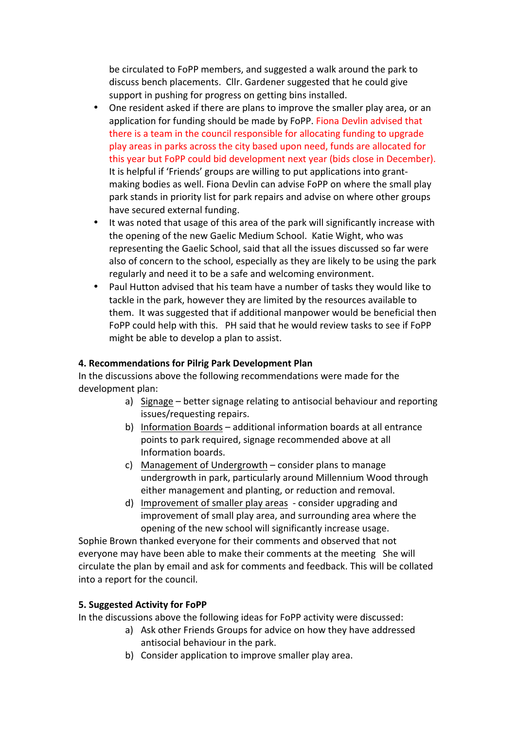be circulated to FoPP members, and suggested a walk around the park to discuss bench placements. Cllr. Gardener suggested that he could give support in pushing for progress on getting bins installed.

- One resident asked if there are plans to improve the smaller play area, or an application for funding should be made by FoPP. Fiona Devlin advised that there is a team in the council responsible for allocating funding to upgrade play areas in parks across the city based upon need, funds are allocated for this year but FoPP could bid development next year (bids close in December). It is helpful if 'Friends' groups are willing to put applications into grantmaking bodies as well. Fiona Devlin can advise FoPP on where the small play park stands in priority list for park repairs and advise on where other groups have secured external funding.
- It was noted that usage of this area of the park will significantly increase with the opening of the new Gaelic Medium School. Katie Wight, who was representing the Gaelic School, said that all the issues discussed so far were also of concern to the school, especially as they are likely to be using the park regularly and need it to be a safe and welcoming environment.
- Paul Hutton advised that his team have a number of tasks they would like to tackle in the park, however they are limited by the resources available to them. It was suggested that if additional manpower would be beneficial then FoPP could help with this. PH said that he would review tasks to see if FoPP might be able to develop a plan to assist.

### **4. Recommendations for Pilrig Park Development Plan**

In the discussions above the following recommendations were made for the development plan:

- a) Signage better signage relating to antisocial behaviour and reporting issues/requesting repairs.
- b) Information Boards additional information boards at all entrance points to park required, signage recommended above at all Information boards.
- c) Management of Undergrowth  $-$  consider plans to manage undergrowth in park, particularly around Millennium Wood through either management and planting, or reduction and removal.
- d) Improvement of smaller play areas consider upgrading and improvement of small play area, and surrounding area where the opening of the new school will significantly increase usage.

Sophie Brown thanked everyone for their comments and observed that not everyone may have been able to make their comments at the meeting She will circulate the plan by email and ask for comments and feedback. This will be collated into a report for the council.

### **5. Suggested Activity for FoPP**

In the discussions above the following ideas for FoPP activity were discussed:

- a) Ask other Friends Groups for advice on how they have addressed antisocial behaviour in the park.
- b) Consider application to improve smaller play area.